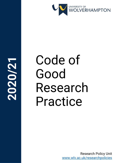

# **2020/21**

# Code of Good Research Practice

Research Policy Unit [www.wlv.ac.uk/researchpolicies](http://www.wlv.ac.uk/researchpolicies)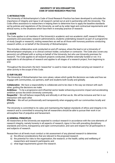#### **UNIVERSITY OF WOLVERHAMPTON CODE OF GOOD RESEARCH PRACTICE**

# **1) INTRODUCTION**

The University of Wolverhampton's Code of Good Research Practice has been developed to articulate the importance of integrity and rigour in all research carried out at and in partnership with the University. The Code offers assistance to researchers in helping them to determine how to apply the baseline standards set by policies and regulations of the University, as well as by wider legal and contractual requirements and ethical norms, to the situations which face them in everyday practice of research.

# **2) SCOPE**

The Code applies to all members of the University's academic and non-academic staff; research fellows, assistants and associates; research administrators; students undertaking research as part of a programme of study (taught or research); visiting researchers as well as all those with honorary positions conducting research within, or on behalf of the University of Wolverhampton.

This includes collaborative work conducted on and off campus, where the lead is not a University of Wolverhampton employee, or is clinical contract holder, consultant or contractor. The Code also covers any person(s) not affiliated with or acting on behalf of the University, but who use University premises for research. The Code applies to all research projects conducted, whether externally funded or not. It is applicable to all disciplines of research and applies to all stages of a research project, from beginning to end.

Throughout the document, the term 'researcher' is used to mean any individual carrying out research or other activity in the scope of this Code.

# **3) OUR VALUES**

The University of Wolverhampton has core values; values which guide the decisions we make and how we engage with communities, our partners, staff and students both locally and globally.

**Collaborative** - We have a responsibility to collaborate and to be clear in the way we interact with each other, guiding the decisions we make

**Ambitious** – To be a progressive and influential sector leader enhancing economic impact and accelerating ambition across the entire University community.

**Respectful** – We will behave respectfully and ethically in all that we do. We will be inclusive and fair in our interaction with each other

**Effective** – We will act professionally and transparently when engaging with our communities locally and globally.

The University is committed to its vales and maintaining the highest standards of ethics and integrity in its research and is committed to ensuring that all researchers should be able to pursue their work in an atmosphere free of prejudice and harassment.

# **4) GENERAL PRINCIPLES**

All researchers at the University are expected to conduct research in accordance with the core elements of research integrity, namely honesty in all aspects of research, rigour in line with prevailing disciplinary standards and norms, transparency and open communication, and care and respect for all participants in and subjects of research.

Researchers at all levels must conduct a risk assessment of any planned research to determine:

- a) the ethical considerations that are relevant to the proposed research
- b) the potential for risks to the organisation, the research, or the health, safety and wellbeing of researchers and research participants; and
- c) what legal requirements govern the research.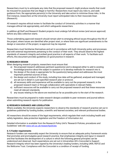Researchers must try to anticipate any risks that the proposed research might produce results that could be misused for purposes that are illegal or harmful. Researchers must report any risks to, and seek guidance from, the appropriate person(s) in the University and take action to minimise those risks. In the first instance, researchers at the University must report anticipated risks to their Associate Dean (Research).

All research requires ethical review to facilitate the conduct of University activities in a manner that manages ethical risk appropriately, and which safeguards researchers.

In addition all Staff and Research Student projects must undergo full ethical review (and secure approval) before any data collection starts.

Those undertaking approved research should remain alert to emerging ethical issues throughout the life of the project; where issues are identified after project start, or where there are significant amendments to the design or execution of the project, re-approval may be required.

Researchers must familiarise themselves and act in accordance with both University policy and processes and with external requirements pertaining to the conduct of their work. They should observe the highest standards of research integrity and embed good practice in all aspects of their work. To facilitate such efforts, this document provides guidelines on good practice in research.

# **5) RESEARCH DESIGN**

When designing research projects, researchers must ensure that:

- a) the proposed research addresses pertinent question(s) and is designed either to add to existing knowledge/practice about the subject in question or to develop methods for research into it;
- b) the design of the study is appropriate for the question(s) being asked and addresses the most important potential sources of bias.
- c) the design and conduct of the study, including how data will be gathered, analysed and managed, are set out in detail in a pre-specified research plan or protocol;
- d) all necessary skills and experience will be available to carry out the proposed research, in the proposed research team or through collaboration with specialists in relevant fields;
- e) sufficient resources will be available to carry out the proposed research and that these resources meet all relevant standards;
- f) any issues relating to the above are resolved as far as possible prior to the start of the research.

Researchers must be prepared to make research designs available to peer reviewers and journal editors when submitting research reports for publication.

# **6) RESEARCH GUIDANCE AND LEGISLATION**

Where available, the University expects researchers to observe the standards of research practice set out in guidelines published by funding bodies, scientific and learned societies, and relevant professional bodies.

All researchers should be aware of the legal requirements, which regulate their work including health and safety legislation, data protection legislation and the Freedom of Information Act.

Detailed information is available from the Research Policy Unit's 'Research Policies, procedures and Guidelines' web site [www.wlv.ac.uk/researchpolicies](http://www.wlv.ac.uk/researchpolicies)

# **6.1) Funder requirements**

Research funders can reasonably expect the University to ensure that an adequate policy framework exists that promotes and promulgates good research practice, that emphasises integrity and rigour in research and that facilitates the development of a culture in which the following general principles can be understood and observed. Such expectations are set out in Universities UK's Concordat to Support Research Integrity which has been signed by the University's leading funders, including UKRI, HEFCE and the Wellcome Trust. Compliance with the Concordat is a condition of receipt of funding.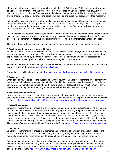Many funders have published their own policies, including UKRI's Policy and Guidelines on the Governance of Good Research Conduct and the Wellcome Trust's Guidelines on Good Research Practice. A list of relevant policies and guidance from various funders is provided at the end of this document. Researchers should ensure that they are aware of and abide by all policies and guidelines that apply to their research.

Research Councils and charities fund for public benefit, and impose certain obligations and restrictions on the use of their funds, for example a requirement to disseminate research findings, and a proscription on funding research for the purpose of direct commercial or private gain. Researchers should be aware of these obligations and seek advice where required.

Researchers should report any significant changes in the direction of funded research to the funder or other relevant body. Best practice would be to discuss any change in direction of the research with the funder prior to its implementation. Most funding agreements will provide a mechanism for handling this process.

The Project Support Office can provide guidance on funder requirements and funding agreements.

# **6.2) Adherence to legal and ethical guidelines**

All research carried out at the University must also comply with relevant legal, regulatory, professional and ethical requirements and standards. This includes submitting research proposals for ethics review where appropriate and abiding by the outcome of that review. Researchers must also ensure that research projects are approved by all applicable bodies, ethical, regulatory or otherwise.

Researchers should be familiar with guidance on University procedures for ethical assessment, review and approval found on the webpage [www.wlv.ac.uk/ethics](http://www.wlv.ac.uk/ethics)

For guidance on all legal matters, visit<https://www.wlv.ac.uk/about-us/governance/legal-information/>

# **6.3) Overseas research**

When conducting, or collaborating in, research in other countries University researchers must comply with the legal and ethical requirements existing in the UK and in the countries where the research is conducted. Similarly researchers based abroad who participate in UK hosted research projects must comply with the legal and ethical requirements existing in the UK as well as those of their own country.

# **6.4) Insurance and indemnity**

University researchers must ensure that all research projects have sufficient arrangements for insurance and indemnity prior to the research being conducted. Guidance on University procedures for insurance may be found at <https://www.wlv.ac.uk/staff/services/finance/departmental-services/insurance--inventory/>

# **6.5) Health and safety**

University researchers must ensure that all research carried out under their auspices, or for which they are responsible, fulfils all requirements of health and safety legislation and good practice. Researchers must bear in mind that certain types of research can present particular issues of health and safety. They must ensure that all research which involves potentially hazardous or harmful material or which might cause harm to the environment complies with all legal requirements and other applicable guidelines. Researchers should also consider any implications with respect to their own health & safety and that of any participants. The University's guidance on Health and Safety may be found at<https://www.wlv.ac.uk/staff/services/hsd/>

# **6.6) Finance**

University researchers must ensure that the terms and conditions of any grant or contract related to the research are adhered to. The University issues guidelines regarding the purchasing or procurement of materials, equipment or other resources for research and the hiring of staff for research projects.

Researchers must comply with the University's guidelines regarding the use and management of finances relating to research projects. They must cooperate with any monitoring and audit of finances relating to research projects and report any concerns or irregularities to the appropriate person(s) as soon as they become aware of them.<https://www.wlv.ac.uk/media/wlv/pdf/UoW-Financial-Regulations.pdf>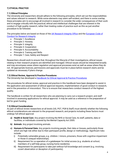# **7) ETHICAL PRACTICE**

#### **7.1) Ethical Principles**

The University and researchers should adhere to the following principles, which set out the responsibilities and values relevant to research. While some elements may seem self-evident, and there is some overlap, these principles aim to encourage all involved in research to consider the wider consequences of their work and to engage critically with the practical, ethical and intellectual challenges that are inherent in the conduct of high quality research, rather than treating codes of practice such as this as just another procedure to be followed.

The principles below are based on those of the UK [Research Integrity Office](http://www.ukrio.org/publications/code-of-practice-for-research/2-0-principles/) and the [European Code of](http://www.allea.org/Content/ALLEA/Scientific%20Integrity/A%20European%20Code%20of%20Conduct%20for%20Research%20Integrity_final.10.10.pdf)  [Conduct for Research Integrity](http://www.allea.org/Content/ALLEA/Scientific%20Integrity/A%20European%20Code%20of%20Conduct%20for%20Research%20Integrity_final.10.10.pdf) 

- Principle 1: Excellence
- Principle 2: Honesty
- Principle 3: Integrity
- Principle 4: Cooperation
- Principle 5: Accountability
- Principle 6: Training and Skills
- Principle 7: Care, Safety and Respect

Researchers should work to ensure that, throughout the lifecycle of their investigations, ethical issues relating to their research projects are identified and managed. Ethical issues should be interpreted broadly and may encompass areas where regulation and approval processes exist as well as areas where they do not. All appropriate licences, permissions and approvals must be in place before research starts and be updated as necessary if plans change.

#### **7.2) Ethical Review, Approval & Practice Procedures**

The University has developed a [Handbook for Ethical Approval & Practice Procedures](https://www.wlv.ac.uk/media/departments/research/documents/Handbook-for-Ethical-Approval-&-Practice-Procedures.pdf)

The procedures for ethical review, approval and practice in this handbook have been designed to assist in the application and assessment of ethical approval requests, implementation of good conduct in research, and in the prevention of misconduct. This is to ensure that researchers conduct research of the highest quality.

The handbook is written for all researchers who are planning to carry out a research project, and staff involved in assessing applications for ethical approval. It may be used as a reference in the preparation of bid for grant funding.

#### **7.3) Ethical Considerations**

As part of ethical review researchers at all levels (UG, PGT, PGR & Staff) must identify whether the following ethical considerations are relevant to the proposed research, and projects including these factors must undergo full ethical approval:

- **a) Health & Social Care**: Any project involving the NHS or Social Care, its staff, patients, data or facilities; or individuals covered by the Mental Capacity Act 2005.
- **b) Animals**: Any project involving animals.
- **c) Humans & Personal Data:** Any projects involving people, their data or tissues, particularly those which are high risk either due to their participant profile, design or methodology. Significant risks include:
	- i) Potentially vulnerable groups, e.g. children / minors, prisoners, those with cognitive impairment or those in unequal relationships;
	- ii) Requirement for co-operation of a gatekeeper for initial access (e.g. students at school, members of a self-help group, nursing home residents);
	- iii) Requirement for participants to take part without full knowledge and consent (e.g. involving covert observation or deception of participants);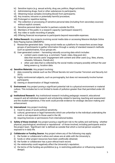- iv) Sensitive topics (e.g. sexual activity, drug use, politics, illegal activities);
- v) Administering drugs, food or other substances to participants;
- vi) Obtaining tissue samples (including blood) from participants;
- vii) Any invasive, intrusive or potentially harmful procedure;
- viii) Prolonged or repetitive testing;
- ix) The collection or processing of sensitive personal data (including from secondary sources) without explicit consent;
- x) Sensitive personal data transfer to partners outside the EEA;
- xi) Members of the public in a research capacity ('participant research');
- xii) Any video or audio recording of people;
- xiii) Offering financial recompense to participants beyond reasonable expenses.
- **d) Online Research**: Any projects involving social media data or accessing Massive Multiple Online Role Playing Games (MMORPG):
	- i) Researcher-generated data Using social media as a platform for researchers access large groups of participants to gather information through a variety of standard research methods such as questionnaires, focus groups etc.
	- ii) User-generated content harvesting naturally occurring data which includes:
		- content users create (e.g. a comment, Tweet, video, blog post etc) data that records users' engagement with content and other users (e.g. likes, shares, retweets, followers, friends etc)
		- other user data that is collected by the social media company possibly without the user being aware e.g. location data.
- **e) Sensitive Materials:** Any project involving:
	- i) data covered by statute such as the Official Secrets Act and Counter-Terrorism and Security Act 2013;
	- ii) highly controversial subjects, such as pornography, but does not necessarily involve human participants.
	- iii) viewing or dissemination of illegal materials.
- **f) Environment:** Any project posing a significant potential risk to a physical environment or material culture. This includes but is not limited to levels of pollution greater than that permitted under UK law.
- **g) Institutional Research**: Any institutional research including pedagogic research, educational research and all individual research and scholarship related to learning, teaching and assessment and the student experience, if the work could provide evidence for strategic decision making and enhancement.
- **h) International:** Any project involving:
	- i) travel to areas of acute political sensitivity;
	- ii) cultural, governance or legal frameworks which are unfamiliar to the individual undertaking the work or not equivalent to those used in the UK;
	- iii) requiring licences or permissions from international bodies.
- **i) Safety of those involved:** Any project posing a significant risk to the safety and well-being whether physical, psychological, emotional or reputational - of those involved, including participants and/or the project team. 'Significant risk' is defined as outside that which a normal person would be exposed to in daily life.
- **j) Collaborator or Funding Source:** Any project where any of the following may apply:
	- i) the funder or collaborator's ethos and values are at odds with the University's;
	- ii) funds or other project resources have been unethically obtained;
	- iii) the funder or collaborator has a poor ethical track record;
	- iv) the relationship could negatively affect the University's reputation;
	- v) the terms of the funding are prohibitive (e.g. in restricting publication or influencing research design).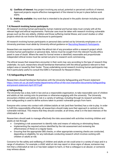- **k) Conflicts of Interest:** Any project involving any actual, potential or perceived conflicts of interest. Approved projects require effective management of the interest to be put in place before work starts.
- **l) Publically available:** Any work that is intended to be placed in the public domain including social media.

# **7.4) Research involving human participants**

All research involving human participants, human material and human data must comply with all the relevant legal and ethical requirements. Particular care must be taken with research involving vulnerable groups such as the very elderly, children and those suffering mental illness; and covert studies or other projects which do not involve full disclosure to participants

All research involving human participants or personal data carried out by University employees or on University premises must abide by University ethical guidance on [Recruiting Research Participants.](https://www.wlv.ac.uk/research/research-policies-procedures--guidelines/ethics-guidance/recruiting-research-participants/)

Researchers are required to consider the ethical risk of any procedure within a research project which involves human participation or personal data. Advice must be sought from the relevant Faculty ethics panel in case of doubt. Where the need for formal review is identified, reasonable and proportionate independent ethical review must be carried out prior to research work commencing.

The ethical issues that researchers encounter in their work may vary according to the type of research they undertake. As such, researchers should familiarise themselves with the ethical guidance relevant to their subject area or issued by their funder. Those undertaking social research involving human participants may find it particularly useful to consult the ESRC's Framework for Research Ethics.

# **7.5) Safeguarding & Prevent**

Researchers should familiarise themselves with the University Safeguarding and Prevent statement [https://www.wlv.ac.uk/staff/media/departments/office-of-the-vice-chancellor/documents/Safeguarding](https://www.wlv.ac.uk/staff/media/departments/office-of-the-vice-chancellor/documents/Safeguarding-and-prevent-statement-April-2019.pdf)[and-prevent-statement-April-2019.pdf](https://www.wlv.ac.uk/staff/media/departments/office-of-the-vice-chancellor/documents/Safeguarding-and-prevent-statement-April-2019.pdf)

# **a) Safeguarding**

The University has a duty, both in law and as a responsible organisation, to take reasonable care of children and adults at risk coming onto its premises or otherwise engaging with the university. The University encounters children and adults at risk in a variety of settings, including through its research activities. The term safeguarding is used to define actions taken to protect vulnerable groups from harm.

Everyone who comes into contact with children/adults at risk (and their families) has a role to play. In order to fulfil this responsibility effectively, all researchers should make sure their approach is centred on the vulnerable individual. This means that they should consider, at all times, what is in the best interests of the child/adult at risk.

Researchers should seek to manage effectively the risks associated with activities involving children and adults at risk through:

- Completing a risk assessment to identify risks and means of reducing or eliminating these;
- Implementing the required actions identified by the risk assessment and reviewing the effectiveness of these on a regular basis;
- Ensuring that the appropriate DBS checks, or other appropriate screening checks are conducted, depending on eligibility, for any individuals conducting research which involves working with children or adults at risk.

Concerns for the safety and wellbeing of children and adults at risk could arise in a variety of ways and in a range of situations. For example, a child/ adult at risk may report or show signs of abuse, someone may hint that a child/adult at risk is or has been subject to harm, or that a colleague is an abuser, or someone may witness abuse.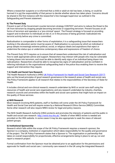Where a researcher suspects or is informed that a child or adult at risk has been, is being, or could be harmed it is not the responsibility of that person to decide whether abuse has taken place. Concerns should be shared in the first instance with the researcher's line manager/supervisor as outlined in the Safeguarding and Prevent statement.

# **b) The Prevent Duty**

Prevent is part of the Government counter-terrorism strategy CONTEST and aims to reduce the threat to the UK from terrorism by stopping people becoming terrorists or supporting terrorism. Prevent focuses on all forms of terrorism and operates in a 'pre-criminal' space'. The Prevent strategy is focused on providing support and re-direction to individuals at risk of, or in the process of being groomed /radicalised into terrorist activity before any crime is committed.

Radicalisation is comparable to other forms of exploitation; it is a safeguarding issue that researchers working in the education sector must be aware of. Radicalisation is a process by which an individual or group adopts increasingly extreme political, social, or religious ideals and aspirations that reject or undermine the status quo or undermine contemporary ideas and expressions of freedom of choice.

The Prevent Duty 2015 requires us to ensure that all researchers understand the risk of radicalisation and how to seek appropriate advice and support. Researchers may interact with people who may be vulnerable to being drawn into terrorism, and must be able to identify early signs of an individual being drawn into radicalisation. Researchers should be able to recognise key signs of radicalisation and be confident in referring individuals to the organisational safeguarding lead or the police thus enabling them to receive the support and intervention they require.

# **7.6) Health and Social Care Research**

The Health Research Authority's (HRA) [UK Policy Framework for Health and Social Care Research \(2017\)](https://www.hra.nhs.uk/planning-and-improving-research/policies-standards-legislation/uk-policy-framework-health-social-care-research/) sets out the broad principles of good research governance in the research areas of health and social care. The Policy Framework applies to all research that relates to the responsibilities of the Secretary of State for Health.

It includes clinical and non-clinical research; research undertaken by NHS or social care staff using the resources of health and social care organisations; and any research undertaken by industry, charities, research councils and universities within the health and social care systems that might have an impact on the quality of those services.

# **a) NHS Research**

Most research involving NHS patients, staff or facilities will come under the UK Policy Framework for Health and Social Care and will require review by a National Research Ethics Service (NRES) Committee. Some other research will also require NRES review for legal and policy reasons.

The NHS Health Research Authority (HRA) protects and promotes the interests of patients and the public in health and social care research. [http://www.hra.nhs.uk/.](http://www.hra.nhs.uk/) Details of when NRES review is needed are provided on the HRA website. In some cases it may be also appropriate to seek the views of relevant patient groups.

# **b) Institutional Sponsorship**

Research which falls within the scope of the UK Policy Framework requires a research sponsor; the Sponsor is a company, institution or organisation which takes responsibility for the quality and governance of the project. The UK Policy Framework states that a Sponsor is 'The organisation or partnership that takes on overall responsibility for proportionate, effective arrangements being in place to set up, run and report a research project'.

Formal confirmation from the Sponsor must be obtained prior to an application for the permissions and approvals for health and social care / community care research in the UK using the Integrated Research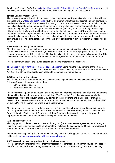Application System (IRAS). The Institutional Sponsorship Policy - [Health and Social Care Research](https://www.wlv.ac.uk/media/departments/research/documents/Institutional-Sponsorship-Policy---Health-&-Social-Care-Research.docx) sets out the policy and procedure that researchers must follow when making an IRAS application.

# **c) Good Clinical Practice (GCP)**

The University expects that all clinical research involving human participants is undertaken in line with the principles of GCP. [Good Clinical Practice](https://www.gov.uk/guidance/good-clinical-practice-for-clinical-trials) (GCP) is an international ethical and scientific quality standard for the design and conduct of clinical research involving humans. GCP is a set of core principles, which applies to all clinical investigations that could affect the safety and wellbeing of human participants. GCP is internationally recognised as best practice and compliance (including up to date training) and is a legal obligation in the UK/Europe for all trials of investigational medicinal products. GCP was developed by the regulatory authorities represented in the Tripartite International Conference on Harmonisation and provides international assurance that: (i) Data and reported results of clinical investigations are credible and accurate, and; (ii) The rights, safety and confidentiality of participants in clinical research are respected and protected.

# **7.7) Research involving human tissue**

All activity involving the acquisition, storage and use of human tissue (including cells, serum, saliva etc) as defined by the Human Tissue Authority (HTA) under relevant material for the purposes of research is covered by a number of different pieces of legislation all of which researchers must fully comply with. This includes but is not limited to the Human Tissue Act 2004, NHS Act 2006 and Mental Capacity Act 2005

Researchers must not use their own biological or personal material in their research.

[The University Policy for Use of Human Tissue in Research](https://www.wlv.ac.uk/research/research-policies-procedures--guidelines/ethics-guidance/use-of-human-tissue-for-research/uow-policy-for-use-of-human-tissue-for-research/) aligns with the requirements of the Human Tissue Authority (HTA). The aim of this Policy is be to ensure University compliance with the Human Tissue Act 2004 and ethical considerations in relation to research using human tissue.

# **7.8) Research involving animals**

The University and its funders require that research involving animals should have been subject to the following (through the appropriate bodies):

- **•** Ethical Review Process
- Home Office licence application.

Researchers are required by law to consider the opportunities for Replacement, Reduction and Refinement of animal involvement in research – the principle of "The Three Rs". The University recommends that researchers refer to the relevant national guidelines on the appropriate and ethical use of animals in research. Publications using data acquired from animal research must follow the principles of the ARRIVE Guideline (Animal Research: Reporting In Vivo Experiments.)

All animal research is overseen by the University Life Sciences Ethics Committee and in compliance with University's Policy on the Use of Animals in Scientific Research [in development]. In accordance with the Concordat on the Declaration of Openness in Animal Research, the University supports the goal of appropriate openness and transparency with respect to our use of animals.

# **7.9) The Nagoya Protocol**

The Nagoya Protocol on Access and Benefit Sharing (ABS) is an international agreement establishing a legal framework to govern access to genetic material including the associated traditional knowledge, and ensure that benefits arising from the use of these resources are shared fairly.

Researchers are required by law to undertake due diligence when using genetic resources, and should refer to University [guidance on complying with the Nagoya Protocol.](https://www.wlv.ac.uk/research/research-policies-procedures--guidelines/the-nagoya-protocol/)

# **7.10) Research misuse, non-proliferation and dual-use research**

Researchers must consider any risks that their research will generate outcomes that could be misused for harmful purposes both when setting up research collaborations, communicating results and teaching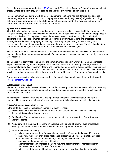(particularly teaching postgraduates in [ATAS](https://www.gov.uk/guidance/academic-technology-approval-scheme) (Academic Technology Approval Scheme) regulated subject areas). Where risks exist, they must seek advice and take active steps to minimise them.

Researchers must also comply with all legal requirements relating to non-proliferation and dual-use, particularly export controls. Export controls apply to the transfer (by any means) of goods, technology, software and/or knowledge from the UK to a destination outside the UK that may be used for military purposes or for Weapons of Mass Destruction purposes.

# **8) RESEARCH INTEGRITY**

All individuals involved in research at Wolverhampton are expected to observe the highest standards of integrity, honesty and professionalism in respect of their own actions in research and in their responses to the actions of others. This applies to the whole range of research work including, but not limited to: designing studies and experiments; generating, recording, archiving, analysing and interpreting data; sharing data and materials; applying for funding; presenting and publishing results; training new researchers, staff and students; and peer reviewing the work of other researchers. The direct and indirect contributions of colleagues, collaborators and others should be acknowledged.

The University expects research results to be checked for accuracy and consistency by the researchers responsible for them before being made public. Researchers must be able to explain and justify how results were reached.

The University is committed to upholding the commitments outlined in Universities UK's Concordat to Support Research Integrity. This requires those involved in research to abide by national, European and international standards of research integrity and to embed good practice in every aspect of their work. All researchers should be aware of their responsibilities under the Concordat. A summary of the standards to which researchers are expected to adhere is provided in the University's Statement on Research Integrity.

Further guidance on the University's expectations for integrity in research is provided by the University [Research Integrity website.](https://www.wlv.ac.uk/research/research-policies-procedures--guidelines/concordat-to-support-research-integrity/)

# **8.1) Research Misconduct**

Allegations of misconduct in research are rare but the University takes them very seriously. The University is committed to ensuring that allegations of misconduct in research are investigated with all possible thoroughness and vigour.

All members of the University, and individuals permitted to work in University institutions, have a responsibility to report any incident of misconduct, whether this has been witnessed, or is suspected.

# **8.2) Definitions of Research Misconduct**

In the context of these procedures, misconduct is taken to mean:

- a) **Fabrication**: This includes the creation of false data or other aspects of research, including documentation and participant consent.
- b) **Falsification**: This includes the inappropriate manipulation and/or selection of data, imagery and/or consents.
- c) **Plagiarism**: This includes the general misappropriation or use of others' ideas, intellectual property or work (written or otherwise), without acknowledgement or permission.
- d) **Misrepresentation**: Including:
	- i) Misrepresentation of data, for example suppression of relevant findings and/or data, or knowingly, recklessly or by gross negligence, presenting a flawed interpretation of data;
	- ii) Undisclosed duplication of publication, including undisclosed duplicate submission of manuscripts for publication;
	- iii) Misrepresentation of interests, including failure to declare material interests either of the researcher or of the funders of the research;
	- iv) Misrepresentation of qualifications and/or experience, including claiming or implying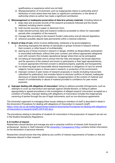qualifications or experience which are not held;

- v) Misrepresentation of involvement, such as inappropriate claims to authorship and/or attribution of work where there has been no significant contribution, or the denial of authorship where an author has made a significant contribution.
- e) **Mismanagement or inadequate preservation of data &/or primary materials**: Including failure to:
	- i) keep clear and accurate records of the research procedures followed and the results obtained, including interim results;
	- ii) hold records securely in paper or electronic form;
	- iii) make relevant primary data and research evidence accessible to others for reasonable periods after completion of the research;
	- iv) manage data according to the research funder's data policy and all relevant legislation;
	- v) wherever possible, deposit data permanently within a national collection.
- f) **Breach of duty of care**, which involves deliberately, recklessly or by grossnegligence:
	- i) disclosing improperly the identity of individuals or groups involved in research without their consent, or other breach of confidentiality
	- ii) placing any of those involved in research in danger, whether as Respondents, participants or associated individuals, without their prior consent, and without appropriate safeguards even with consent; this includes reputational danger where that can be anticipated;
	- iii) not taking all reasonable care to ensure that the risks and dangers, the broad objectives and the sponsors of the research are known to participants or their legal representatives, to ensure appropriate informed consent is obtained properly, explicitly and transparently;
	- iv) not observing legal and reasonable ethical requirements or obligations of care for animal subjects, human organs or tissue used in research, or protection of the environment;
	- v) improper conduct in peer review of research proposals or results (including manuscripts submitted for publication); this includes failure to disclose conflicts of interest; inadequate disclosure of clearly limited competence; misappropriation of the content of material; and breach of confidentiality or abuse of material provided in confidence for peer review purposes.
- g) **Improper dealing with allegations of misconduct**: failing to address possible infringements, such as attempts to cover up misconduct and reprisals against whistle-blowers, or failing to adhere appropriately to agreed procedures in the investigation of alleged research misconduct accepted as a condition of funding. Improper dealing with allegations of misconduct includes the inappropriate censoring of parties through the use of legal instruments, such as non-disclosure agreements

The University's approach to managing these issues relating to members of staff is described in detail in the University's Procedures for dealing with allegations of misconduct in research (staff) [https://www.wlv.ac.uk/media/departments/research/documents/Procedures-for-dealing-with-allegations](https://www.wlv.ac.uk/media/departments/research/documents/Procedures-for-dealing-with-allegations-of-misconduct-in-research-(staff)-(2019-20).docx)[of-misconduct-in-research-\(staff\)-\(2019-20\).docx](https://www.wlv.ac.uk/media/departments/research/documents/Procedures-for-dealing-with-allegations-of-misconduct-in-research-(staff)-(2019-20).docx) .

The procedures relating to discipline of students for misconduct in the prosecution of research are set out in the Student Disciplinary Regulations.

# **8.3) Conflict of interest**

Researchers should declare and manage any real or potential conflicts of interest, both financial and professional. Section 4: Staff Interests of the [University's Transparency Policy](https://www.wlv.ac.uk/media/departments/office-of-the-vice-chancellor/documents/Transparency-Policy.pdf) contains further information on the declaration of personal interests.

Researchers should ensure that they abide by any conflict of interest requirements of funders or that are otherwise relevant to their research.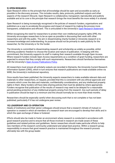#### **9) OPEN RESEARCH**

Open Research refers to the principle that all knowledge should be open and accessible as early as possible in the discovery process. This includes results, data, protocols, published outputs and other aspects of the research lifecycle. Open Research is collaborative, transparent, reproducible and publicly available and at its core is the principle that research brings the most benefits the more widely it is shared.

Open Research is being increasingly recognised in the policies of research funders, organisations and publishers as a way to accelerate the progress and impact of research by making the process more transparent, collaborative and efficient. This is articulated in the University's [Open Research Statement.](https://www.wlv.ac.uk/media/departments/research/documents/Open-Research-Statement.pdf)

Whilst recognising the need for researchers to protect their own intellectual property rights (IPR), the University encourages researchers to be as open as possible in discussing their work with other researchers and with the public. The aim in disseminating charity-funded or University research is to increase knowledge and understanding: its purpose should not be primarily to seek publicity for the researcher, for the University or for the funder.

The University is committed to disseminating research and scholarship as widely as possible, whilst affirming academic freedom to choose the location and nature of publication. In keeping with this commitment, the University supports its staff in making their research available through Open Access. Where research funders include Open Access requirements as a condition of grant funding, researchers are expected to ensure that they comply with such requirements. Researchers should familiarise themselves with the University's [Open Access Publications Policy.](https://www.wlv.ac.uk/media/departments/research/documents/Open-Access-Publications-Policy.pdf)

All researchers must ensure all scholarly outputs are recorded in Elements, the University Current Research Information System (CRIS), which in turn ensures that research publications are made available online via WIRE, the University's institutional repository.

Once results have been published, the University expects researchers to make available relevant data and materials to other researchers, on request, provided that this is consistent with any ethical approvals and consents which cover the data and materials, confidentiality considerations, and any intellectual property rights in them. Many funders will have data sharing policies that must be abided by where appropriate. Funders recognise that publication of the results of research may need to be delayed for a reasonable period pending protection of any intellectual property arising from the research. Any such periods of delay in publication should be kept to a minimum and this should normally be no more than three months.

Researchers should be especially careful when discussing work that is not complete or has not been published, particularly if it has not undergone peer review.

# **10) LEADERSHIP AND CO-OPERATION**

Heads of institutions and their senior colleagues should ensure that a research climate of mutual cooperation is created in which all members of a research team are encouraged to develop their skills and in which the open exchange of ideas is fostered.

Efforts should also be made to foster an environment where research is conducted in accordance with good research practice and to ensure that all those involved in research are made aware of these guidelines and related policies and guidelines. Senior researchers should make particular efforts to help new members of the research community understand and adopt best practice. Within a research group, responsibility to ensure that good research practice is maintained throughout the research process ultimately lies with the group leader.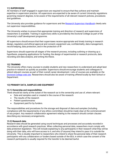# **11) SUPERVISION**

All members of staff engaged in supervision are required to ensure that they achieve and maintain expertise in supervision practice. All supervisors are expected to be aware of current University regulations governing research degrees, to be aware of the requirements of all relevant research policies, procedures and guidelines.

The University also provides guidance for supervisors and the [Research Supervisor Handbook](https://www.wlv.ac.uk/media/departments/office-of-the-vice-chancellor/documents/Research-Supervisor-Handbook-2018-19.pdf) clearly sets out supervisor responsibilities.

The University wishes to ensure that appropriate training and direction of research and supervision of researchers is available. Training in supervisory skills is provided by the Doctoral College as part of the University's staff development programme.

All supervisors should ensure that their supervisees receive appropriate and timely training in research design, regulatory and ethical approval and consent, equipment use, confidentiality, data management, record keeping, data protection, and in the protection of IP.

Supervisors should supervise all stages of the research process, including outlining or drawing up a hypothesis, preparing applications for funding, the design of experimental or research protocols, data recording and data analysis, and writing the thesis.

# **12) TRAINING**

The University offers many courses to enable students and new researchers to understand and adopt best practice in research as quickly as possible. Supervisors should encourage students and colleagues to attend relevant courses as part of their overall career development. Lists of courses are available on the [Doctoral College web site.](https://www.wlv.ac.uk/research/the-doctoral-college/research-students/research-skills-development-workshops/) Researchers should also be aware of training offered locally by their School or Department.

# **13) PRIMARY DATA, SAMPLES AND EQUIPMENT**

#### **13.1) Ownership and responsibilities**

There should be clarity at the outset of the research as to the ownership and use of, where relevant:

- Data and samples used or created in the course of the research
- The results of the research
- Patient questionnaires
- Equipment paid for by funders.

The responsibilities and procedures for the storage and disposal of data and samples (including compliance with the requirements of any ethics committee) should be made clear at the commencement of any project. Any research collaboration agreement relating to the research should contain clauses describing any necessary arrangements.

#### **13.2) Research data**

Research data should be generated using sound techniques and processes and accurately recorded in accordance with good research practices. When collecting personal data, researchers must comply with data protection legislation. This will include explaining to any participants in their research what they will be doing with their data, who will have access to it, and who (if anyone) they intend to pass it to outside the University. This is doubly important to researchers who intend to share the personal data of their research participants with any collaborators or funders based outside of the EEA, in which case the consent of the research participants is usually required for the transfer to be deemed lawful.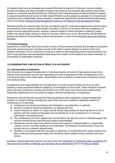All research data must be managed and curated effectively throughout its lifecycle to ensure integrity, security and quality and where possible to support new research and research data sharing. Data stored locally on a computer should be backed-up. Electronic files containing personal data should be encrypted or password protected and access to them should limited to as few people as possible. It is of paramount importance that confidentiality, where required, is maintained. Researchers should familiarise themselves with the University's [Research Data Management Guidance](https://www.wlv.ac.uk/research/research-policies-procedures--guidelines/research-data-management/) and Research [Data Management Policy.](https://www.wlv.ac.uk/media/departments/research/documents/Research-Data-Management-Policy.pdf)

Retention periods for research data will vary according to specific contractual requirements and the nature and sensitivity of the research. Most funders consider a minimum of ten years after the completion of a project to be an appropriate period. However, research based on clinical samples or relating to public health may require longer storage to allow for long-term follow-up to occur. Researchers should adhere to guidance provided by funding bodies, professional guidance, as well as the [University document retention](https://www.wlv.ac.uk/media/departments/office-of-the-vice-chancellor/Retention-Schedule---DRAFT-v1.2_-170418-(2)-FINAL.pdf)  [schedule.](https://www.wlv.ac.uk/media/departments/office-of-the-vice-chancellor/Retention-Schedule---DRAFT-v1.2_-170418-(2)-FINAL.pdf)

# **13.3) Record keeping**

Researchers should keep clear and accurate records of the procedures followed and the approvals granted during the research process, including records of the interim results obtained as well as of the final research outcomes. This is necessary not only as a means of demonstrating proper research practice, but also in case questions are subsequently asked about the conduct of the research, the results obtained, or inventorship on patentable inventions.

# **14) DISSEMINATION, PUBLICATION OF RESULTS & AUTHORSHIP**

# **14.1) Dissemination & Publication**

The University encourages the publication of and dissemination of results of high quality research but believes that researchers must do this responsibly and with an awareness of the consequences of any such dissemination in the wider media. Dissemination will normally be a requirement of research council and charity funding.

Arrangements and responsibilities for the publication of results should be taken into account when planning a study and should ideally be agreed by all investigators at the outset. These should be revisited where role and contributions change over the life cycle of the study. Such discussions might include authorship, authorisation for the content of papers, and the intended place of publication.

Researchers should take into account the following guidance when publishing or disseminating their research or research findings including any plans they may have to publish or publicise research at conferences or on web sites:

- a) Funding sources should normally be acknowledged in any publication or publicity.
- b) Results of research should be published in an appropriate form.
- c) Anyone listed as an author on a paper should accept responsibility for ensuring that he or she is familiar with the contents of the paper and can identify his or her contribution to it. Honorary authorship is not good practice.
- d) The contributions of formal collaborators and all others who directly assist or indirectly support the research should be both specified and properly acknowledged.
- e) Researchers should make every effort to ensure that research is disseminated in a responsible manner, in such a way that results are not overstated. The Research Communications team can provide advice on research dissemination.
- f) Similarly, in accordance with the Concordat on Openness on Animal Research, where research has been conducted using animal models, this should be clearly stated in press materials and news stories.

Examples of good publication practice can be found in the [Committee on Publication Ethics guidelines,](https://publicationethics.org/guidance/Guidelines) the [International Committee of Medical Journal Editors Recommendations](http://www.icmje.org/recommendations/) and on the [Nature website.](https://www.nature.com/nature/for-authors)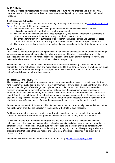# **14.2) Publicity**

Publicity may also be important to industrial funders and to fund-raising charities and is increasingly important to the University itself. Advice on press releases and publicity can be obtained from External Relations.

# **14.3) Academic Authorship**

The University has set out principles for determining authorship of publications in the [Academic Authorship](https://www.wlv.ac.uk/media/departments/research/documents/Academic-Authorship-Policy.docx)  [Policy.](https://www.wlv.ac.uk/media/departments/research/documents/Academic-Authorship-Policy.docx) The purpose of this policy is to ensure:

- a) Researchers who participate in investigation and other academic activities are equitably acknowledged and their contributions are fairly represented;
- b) The work of others is citied and referenced appropriately and acknowledgement of authorship is given to those making a substantial scholarly contribution to the output;
- c) The criteria for attribution of authorship of all research outputs is clarified and appropriate steps to confirm authorship are taken prior to any submission of research outputs for publication; and
- d) The University complies with all relevant external guidelines relating to the attribution of authorship.

# **14.4) Peer Review**

Peer review is an important part of good practice in the publication and dissemination of research findings. Wherever possible, research undertaken by University staff should undergo peer review prior to it being published, publicised or disseminated. If research is placed in the public domain before peer review has been undertaken, it is good practice to make this clear in any publicity.

Researchers who act as peer reviewers should do so accurately and honestly. They should maintain confidentiality and not retain or copy and material submitted to them for peer review. They should not make use of research or research findings from a paper under review without the express permission of the author(s) and should not allow others to do so.

# **15) INTELLECTUAL PROPERTY**

The University, which has charitable status, carries out research and the research councils and charities fund research for public benefit and not for direct commercial or private gain. Public benefit may arise from education, i.e. the gain of knowledge that is placed in the public domain, or in the case of biomedical research improvement in the treatment or care of patients or in the prevention or cure of diseases. Although the University cannot carry out research solely for the purpose of commercial gain, commercial benefit from the exploitation of the results of research may, subject to expectations of funders, accrue to their inventor(s), the University and, by agreement, to the funder of the research. Commercialisation may also be the most effective means of disseminating research results and accruing public benefit.

Researchers must be mindful that the public disclosure of inventions or potentially patentable ideas before registration may prejudice the opportunity to exploit fully the fruits of such research.

Additionally, where the research is funded or part-funded by a third party, in particular for industrially sponsored research, the contractual agreement associated with the funding must be adhered to.

Once any IP arising from their research programme has been protected, and the results have been published, the University expects researchers to be able to make available relevant data and materials to other researchers, on request. However, such release of data and materials should be consistent with ethical principles governing consent, confidentiality and anonymity, and should respect any intellectual property rights that arise either as a matter of general legal principles or specifically as a result of a research contract.

Researchers should familiarise themselves with the University's [Intellectual Property Policy.](https://www.wlv.ac.uk/media/departments/office-of-the-vice-chancellor/documents/Intellectual-Property-Policy---Version-3---approved-July-2016.pdf)